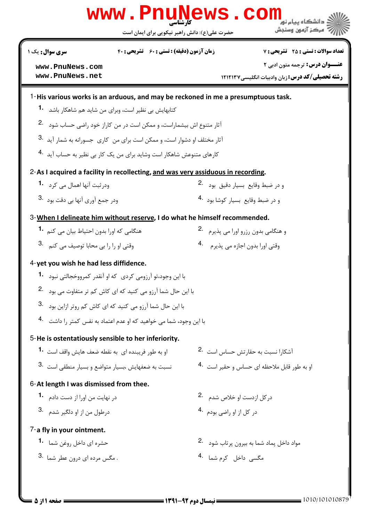|                                                                           | WWW.PHUN<br>حضرت علي(ع): دانش راهبر نيكويي براي ايمان است                         | ews                                           | دانشگاه بیام نو<br>" مرڪز آزمون وسنڊش                   |
|---------------------------------------------------------------------------|-----------------------------------------------------------------------------------|-----------------------------------------------|---------------------------------------------------------|
| سری سوال: یک ۱                                                            | <b>زمان آزمون (دقیقه) : تستی : 60 تشریحی : 40</b>                                 |                                               | <b>تعداد سوالات : تستي : 25 - تشريحي : 7</b>            |
| www.PnuNews.com                                                           |                                                                                   |                                               | <b>عنــوان درس:</b> ترجمه متون ادبي ٢                   |
| www.PnuNews.net                                                           |                                                                                   |                                               | <b>رشته تحصیلی/کد درس: زبان وادبیات انگلیسی ۱۲۱۲۱۳۷</b> |
|                                                                           | 1-His various works is an arduous, and may be reckoned in me a presumptuous task. |                                               |                                                         |
| کتابهایش بی نظیر است، وبرای من شاید هم شاهکا <sub>د</sub> باشد <b>1</b> ۰ |                                                                                   |                                               |                                                         |
|                                                                           | آثار متنوع اش بیشماراست، و ممکن است در من کاراز خود راضی حساب شود <sup>2</sup> ۰  |                                               |                                                         |
|                                                                           | آثار مختلف او دشوار است، و ممكن است براي من كاري جسورانه به شمار آيد 3.           |                                               |                                                         |
|                                                                           | کارهای متنوعش شاهکار است وشاید برای من یک کار بی نظیر به حساب آید <sup>.4</sup>   |                                               |                                                         |
|                                                                           | 2-As I acquired a facility in recollecting, and was very assiduous in recording.  |                                               |                                                         |
| ودر ثبت آنها اهمال می کرد <b>1</b> ۰                                      |                                                                                   | و در ضبط وقايع بسيار دقيق بود 2.              |                                                         |
| ودر جمع آوري آنها ہي دقت بود <sup>.3</sup>                                |                                                                                   | و در ضبط وقایع بسیار کوشا بود <sup>4</sup> ۰  |                                                         |
|                                                                           | 3-When I delineate him without reserve, I do what he himself recommended.         |                                               |                                                         |
| هنگامی که اورا بدون احتیاط بیان می کنم <b>1</b> ۰                         |                                                                                   | و هنگامی بدون رزرو اورا می پذیرم ۔2           |                                                         |
| وقتی او را را بی محابا توصیف می کنم . 3.                                  |                                                                                   | وقتي اورا بدون اجازه مي پذيرم  4              |                                                         |
| 4-yet you wish he had less diffidence.                                    |                                                                                   |                                               |                                                         |
|                                                                           | با این وجود،تو آرزومی کردی  که او آنقدر  کمرووخجالتے ، نبود <b>1</b>              |                                               |                                                         |
|                                                                           | با این حال شما آرزو می کنید که ای کاش کم تر متفاوت می بود $\,$ -2                 |                                               |                                                         |
|                                                                           | با این حال شما آرزو می کنید که ای کاش کم روتر ازاین بود <sup>3</sup> .            |                                               |                                                         |
|                                                                           | با این وجود، شما می خواهید که او عدم اعتماد به نفس کمتر ,ا داشت <sup>4</sup> ۰    |                                               |                                                         |
| 5-He is ostentatiously sensible to her inferiority.                       |                                                                                   |                                               |                                                         |
| او به طور فریبنده ای به نقطه ضعف هایش واقف است <b>1۰</b>                  |                                                                                   | آشکارا نسبت به حقارتش حساس است <sup>2</sup> ۰ |                                                         |
| نسبت به ضعفهایش ،بسیار متواضع و بسیار منطقی است <sup>.3</sup>             |                                                                                   | او به طور قابل ملاحظه ای حساس و حقیر است 4.   |                                                         |
| 6-At length I was dismissed from thee.                                    |                                                                                   |                                               |                                                         |
| در نهایت من اورا از دست دادم <b>1</b> ۰                                   |                                                                                   | در کل ازدست او خلاص شدم . 2                   |                                                         |
| درطول من از او دلگیر شدم <sup>.3</sup>                                    |                                                                                   | در کل از او راضی بودم <sup>4</sup> ۰          |                                                         |
| 7-a fly in your ointment.                                                 |                                                                                   |                                               |                                                         |
| حشره ای داخل روغن شما <b>1.</b>                                           |                                                                                   | مواد داخل پماد شما به بيرون پر تاب شود 2.     |                                                         |
| 3. مگس مرده ای درون عطر شما .3                                            |                                                                                   | مگسی داخل کرم شما <sup>4.</sup>               |                                                         |
|                                                                           |                                                                                   |                                               |                                                         |

**DESIMATE** 

17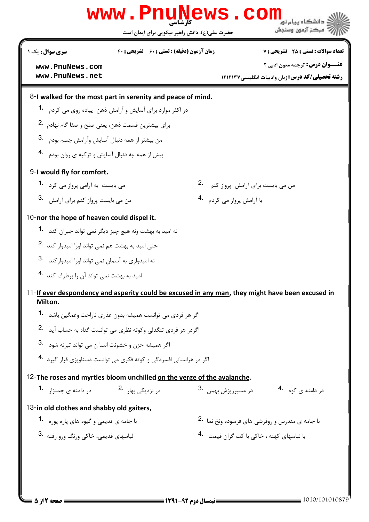|                                                       | www.PnuNews.com                                                                                  |                                           | د<br>د انشگاه ییام نو <mark>ر</mark>                      |
|-------------------------------------------------------|--------------------------------------------------------------------------------------------------|-------------------------------------------|-----------------------------------------------------------|
|                                                       | حضرت علی(ع): دانش راهبر نیکویی برای ایمان است                                                    |                                           | " مرڪز آزمون وسنڊش                                        |
| سری سوال : یک ۱                                       | <b>زمان آزمون (دقیقه) : تستی : 60 ٪ تشریحی : 40</b>                                              |                                           | <b>تعداد سوالات : تستي : 25 - تشريحي : 7</b>              |
| www.PnuNews.com                                       |                                                                                                  |                                           | <b>عنـــوان درس:</b> ترجمه متون ادبی ۲                    |
| www.PnuNews.net                                       |                                                                                                  |                                           | <b>رشته تحصیلی/کد درس: زبان وادبیات انگلیسی/121232</b>    |
|                                                       | 8-I walked for the most part in serenity and peace of mind.                                      |                                           |                                                           |
|                                                       | در اکثر موارد برای آسایش و آرامش ذهن پیاده روی می کردم <b>۔1</b>                                 |                                           |                                                           |
|                                                       | براي بيشترين قسمت ذهن، يعني صلح و صفا گام نهادم .2                                               |                                           |                                                           |
|                                                       | من بيشتر از همه دنبال آسايش وأرامش جسم بودم 3.                                                   |                                           |                                                           |
|                                                       | بیش از همه ،به دنبال آسایش و تزکیه ی روان بودم 4.                                                |                                           |                                                           |
| 9-I would fly for comfort.                            |                                                                                                  |                                           |                                                           |
| می بایست به آرامی پرواز می کرد 1.                     |                                                                                                  | من می بایست برای آرامش پرواز کنم 2.       |                                                           |
| من می بایست پرواز کنم برای آرامش 3.                   |                                                                                                  | با آرامش پرواز می کردم۔ 4                 |                                                           |
| 10-nor the hope of heaven could dispel it.            |                                                                                                  |                                           |                                                           |
|                                                       | نه امید به بهشت ونه هیچ چیز دیگر نمی تواند جبران کند <b>1</b> ۰                                  |                                           |                                                           |
|                                                       | حتی امید به بهشت هم نمی تواند اورا امیدوار کند 2.                                                |                                           |                                                           |
| نه امیدواری به آسمان نمی تواند اورا امیدوار کند 3.    |                                                                                                  |                                           |                                                           |
| امید به بهشت نمی تواند آن را برطرف کند <sup>4</sup> ۰ |                                                                                                  |                                           |                                                           |
| Milton.                                               | 11-If ever despondency and asperity could be excused in any man, they might have been excused in |                                           |                                                           |
|                                                       | اگر هر فردی می توانست همیشه بدون عذری ناراحت وغمگبن باشد <b>1</b> ۰                              |                                           |                                                           |
|                                                       | اگردر هر فردی تنگدلی وکوته نظری می توانست گناه به حساب آید ۔ <sup>2</sup>                        |                                           |                                                           |
|                                                       | اگر هميشه حزن و خشونت انسا ن مي تواند تبرئه شود . 3                                              |                                           |                                                           |
|                                                       | اگر در هرانسانی افسردگی و کوته فکری می توانست دستاویزی قرار گیرد <sup>.4</sup>                   |                                           |                                                           |
|                                                       | 12-The roses and myrtles bloom unchilled on the verge of the avalanche.                          |                                           |                                                           |
|                                                       | در نزدیکی بھار <sup>.2</sup> مسلم در دامنه ی چمنزا, <b>1۰</b>                                    | در مسيرريزش بهمن . 3                      | در دامنه ی کوه 4.                                         |
| 13-in old clothes and shabby old gaiters,             |                                                                                                  |                                           |                                                           |
| با جامه ی قدیمی و گیوه های یاره پوره <b>1</b> ۰       |                                                                                                  |                                           | با جامه ی مندرس و روفرشی های فرسوده ونخ نما <sup>.2</sup> |
| لباسهای قدیمی، خاکی ورنگ ورو رفته <sup>3</sup> ۰      |                                                                                                  | با لباسهای کهنه ، خاکی با کت گران قیمت 4. |                                                           |
|                                                       |                                                                                                  |                                           |                                                           |
|                                                       |                                                                                                  |                                           |                                                           |
|                                                       |                                                                                                  |                                           |                                                           |

 $1010/101010879$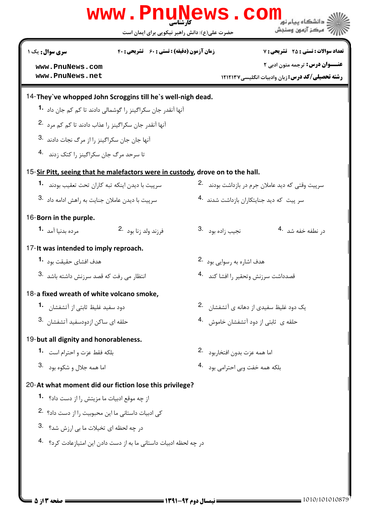|                                                                | www.PnuNews.<br>حضرت علی(ع): دانش راهبر نیکویی برای ایمان است                  |                                            | ڈ دانشگاہ پیام نو <mark>ر</mark><br>مركز آزمون وسنجش    |
|----------------------------------------------------------------|--------------------------------------------------------------------------------|--------------------------------------------|---------------------------------------------------------|
| سری سوال : یک ۱                                                | <b>زمان آزمون (دقیقه) : تستی : 60 ٪ تشریحی : 40</b>                            |                                            | <b>تعداد سوالات : تستي : 25 - تشريحي : 7</b>            |
| www.PnuNews.com                                                |                                                                                |                                            | <b>عنـــوان درس:</b> ترجمه متون ادبی ۲                  |
| www.PnuNews.net                                                |                                                                                |                                            | <b>رشته تحصیلی/کد درس: زبان وادبیات انگلیسی/۱۲۱۲۱۳۷</b> |
|                                                                | 14-They've whopped John Scroggins till he's well-nigh dead.                    |                                            |                                                         |
|                                                                | آنها آنقدر جان سکراگینز را گوشمالی دادند تا کم کم جان داد  • <b>1</b>          |                                            |                                                         |
| أنها أنقدر جان سكراگينز را عذاب دادند تا كم كم مرد .2          |                                                                                |                                            |                                                         |
| 1نها جان جان سكراگينز را از مرگ نجات دادند 3.                  |                                                                                |                                            |                                                         |
| تا سرحد مرگ جان سكراگينز را كتك زدند 4.                        |                                                                                |                                            |                                                         |
|                                                                | 15-Sir Pitt, seeing that he malefactors were in custody, drove on to the hall. |                                            |                                                         |
| سرپیت با دیدن اینکه تبه کاران تحت تعقیب بودند 1.               |                                                                                |                                            | سرپیت وقتی که دید عاملان جرم در بازداشت بودند ۔2        |
| سرپیت با دیدن عاملان جنایت به راهش ادامه داد 3.                |                                                                                |                                            | سر پیت که دید جنایتکاران بازداشت شدند <sup>4</sup> ۰    |
|                                                                |                                                                                |                                            |                                                         |
| 16-Born in the purple.<br>مرده بدنيا آمد 1.                    | فرزند ولد زنا بود 2.                                                           | نجيب <sub>ز</sub> اده بود <sup>. 3</sup>   | د <sub>ر</sub> نطفه خفه شد <sup>.4</sup>                |
|                                                                |                                                                                |                                            |                                                         |
| 17-It was intended to imply reproach.                          |                                                                                |                                            |                                                         |
| هدف افشاي حقيقت بود  • <sup>1</sup>                            |                                                                                | هدف اشاره به رسوایی بود 2.                 |                                                         |
| 3. انتظار می رفت که قصد سرزنش داشته باشد                       |                                                                                |                                            | قصدداشت سرزنش وتحقير را افشا كند 4.                     |
| 18-a fixed wreath of white volcano smoke,                      |                                                                                |                                            |                                                         |
| دود سفید غلیظ ثابتی از آتشفشان <b>1</b>                        |                                                                                |                                            | یک دود غلیظ سفیدی از دهانه ی آتشفشان <sup>.2</sup>      |
| حلقه ای ساکن ازدودسفید آتشفشان <sup>.3</sup>                   |                                                                                |                                            | حلقه ی  ثابتی از دود آتشفشان خاموش    .4                |
| 19-but all dignity and honorableness.                          |                                                                                |                                            |                                                         |
| بلكه فقط عزت و احترام است <sup>1</sup> ۰                       |                                                                                | اما همه عزت بدون افتخا <sub>ر</sub> بود 2. |                                                         |
| 3. اما همه جلال و شكوه بود                                     |                                                                                | بلکه همه خفت وبي احترامي بود 4.            |                                                         |
|                                                                | 20-At what moment did our fiction lose this privilege?                         |                                            |                                                         |
| از چه موقع ادبیات ما مزیتش ,ا از دست داد؟ <b>1</b>             |                                                                                |                                            |                                                         |
| کی ادبیات داستانی ما این محبوبیت را از دست داد؟ <sup>2</sup> ۰ |                                                                                |                                            |                                                         |
| در چه لحظه ای تخیلات ما بی ارزش شد؟ 3.                         |                                                                                |                                            |                                                         |
|                                                                | در چه لحظه ادبیات داستانی ما به از دست دادن این امتیازعادت کرد؟   .4           |                                            |                                                         |
|                                                                |                                                                                |                                            |                                                         |
|                                                                |                                                                                |                                            |                                                         |
|                                                                |                                                                                |                                            |                                                         |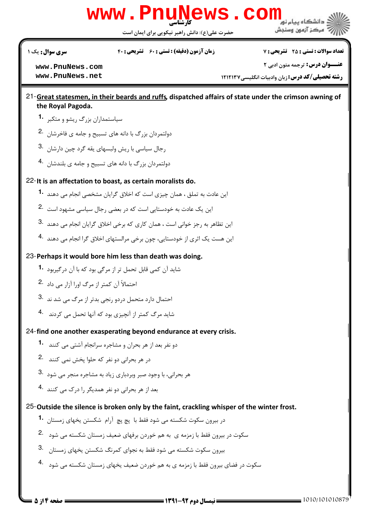

حضرت علی(ع): دانش راهبر نیکویی برای ایمان است

**سری سوال :** یک ۱

**زمان آزمون (دقیقه) : تستی : ۶۰ تشریحی: ۴۰** 

**تعداد سوالات : تستي : 25 - تشريحي : 7** 

www.PnuNews.com www.PnuNews.net

**عنــوان درس:** ترجمه متون ادبي ٢

**رشته تحصیلی/کد درس:** زبان وادبیات انگلیسی ۱۲۱۲۱۳۷

## 21-Great statesmen, in their beards and ruffs, dispatched affairs of state under the crimson awning of the Roval Pagoda.

- سیاستمداران بزرگ ریشو و متکبر 1.
- دولتمردان بزرگ با دانه های تسبیح و جامه ی فاخرشان . <sup>2</sup>۰
- رجال سیاسی با ریش ولبسهای یقه گرد چین دارشان . 3
- دولتمردان بزرگ با دانه های تسبیح و جامه ی بلندشان . 4

# 22-It is an affectation to boast, as certain moralists do.

- ابن عادت به تملق ، همان چیزی است که اخلاق گرایان مشخصی انجام می دهند. **1**
- این یک عادت به خودستایی است که در بعضی رجال سیاسی مشهود است <sup>.2</sup>
- این تظاهر به رجز خوانی است ، همان کاری که برخی اخلاق گرایان انجام می دهند <sup>.3</sup>
- این هست یک اثری از خودستایی، چون برخی مرالستهای اخلاق گرا انجام می دهند .4

# 23-Perhaps it would bore him less than death was doing.

- شاہد آن کمی قابل تحمل تر از مرگی بود که با آن درگیربود **1**
- احتمالاً أن كمتر از مرگ اورا آزار می داد 2.
- احتمال دارد متحمل دردو رنجی بدتر از مرگ می شد ند 3.
- شاید مرگ کمتر از آنچیزی بود که آنها تحمل می کردند 4.

# 24-find one another exasperating beyond endurance at every crisis.

- دو نفر بعد از هر بحران و مشاجره سرانجام آشتی می کنند 1.
- در هر بحرانی دو نفر که حلوا پخش نمی کنند 2.
- هر بحرانی، با وجود صبر وبردباری زیاد به مشاجره منجر می شود .3
- بعد از هر بحرانی دو نفر همدیگر ,ا درک مے, کنند۔4

# 25-Outside the silence is broken only by the faint, crackling whisper of the winter frost.

- در بیرون سکوت شکسته می شود فقط با یچ یچ آرام شکستن پخهای زمستان **1**
- سکوت در بیرون فقط با زمزمه ی به هم خوردن برفهای ضعیف زمستان شکسته می شود 2.
- بیرون سکوت شکسته می شود فقط به نجوای کمرنگ شکستن یخهای زمستان 3.
- سکوت در فضای بیرون فقط با زمزمه ی به هم خوردن ضعیف یخهای زمستان شکسته می شود 4.

صفحه ۱۴ز ۵ :